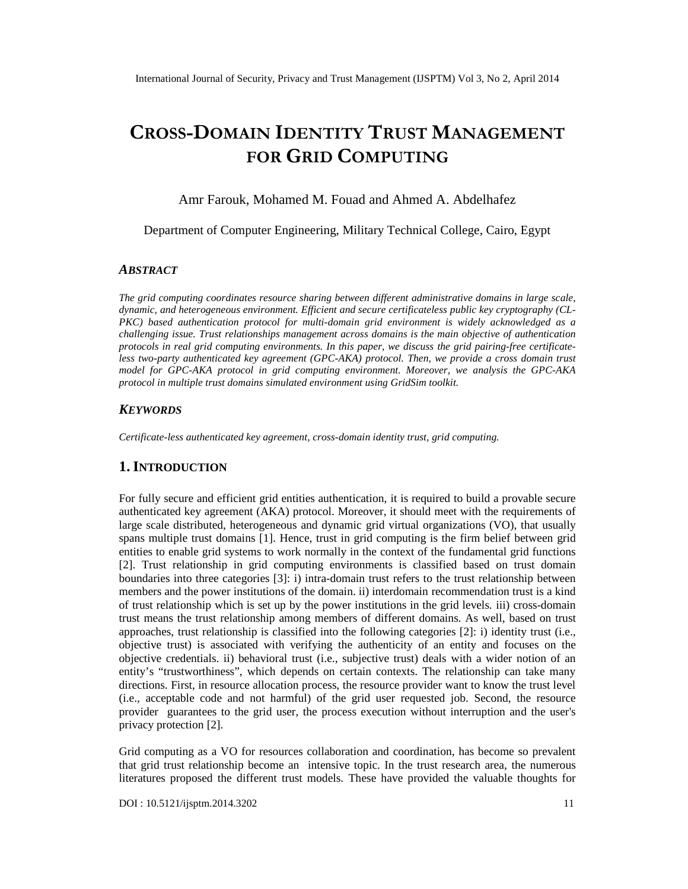# **CROSS-DOMAIN IDENTITY TRUST MANAGEMENT FOR GRID COMPUTING**

Amr Farouk, Mohamed M. Fouad and Ahmed A. Abdelhafez

Department of Computer Engineering, Military Technical College, Cairo, Egypt

#### *ABSTRACT*

*The grid computing coordinates resource sharing between different administrative domains in large scale, dynamic, and heterogeneous environment. Efficient and secure certificateless public key cryptography (CL-PKC) based authentication protocol for multi-domain grid environment is widely acknowledged as a challenging issue. Trust relationships management across domains is the main objective of authentication protocols in real grid computing environments. In this paper, we discuss the grid pairing-free certificateless two-party authenticated key agreement (GPC-AKA) protocol. Then, we provide a cross domain trust model for GPC-AKA protocol in grid computing environment. Moreover, we analysis the GPC-AKA protocol in multiple trust domains simulated environment using GridSim toolkit.*

#### *KEYWORDS*

*Certificate-less authenticated key agreement, cross-domain identity trust, grid computing.*

## **1. INTRODUCTION**

For fully secure and efficient grid entities authentication, it is required to build a provable secure authenticated key agreement (AKA) protocol. Moreover, it should meet with the requirements of large scale distributed, heterogeneous and dynamic grid virtual organizations (VO), that usually spans multiple trust domains [1]. Hence, trust in grid computing is the firm belief between grid entities to enable grid systems to work normally in the context of the fundamental grid functions [2]. Trust relationship in grid computing environments is classified based on trust domain boundaries into three categories [3]: i) intra-domain trust refers to the trust relationship between members and the power institutions of the domain. ii) interdomain recommendation trust is a kind of trust relationship which is set up by the power institutions in the grid levels. iii) cross-domain trust means the trust relationship among members of different domains. As well, based on trust approaches, trust relationship is classified into the following categories [2]: i) identity trust (i.e., objective trust) is associated with verifying the authenticity of an entity and focuses on the objective credentials. ii) behavioral trust (i.e., subjective trust) deals with a wider notion of an entity's "trustworthiness", which depends on certain contexts. The relationship can take many directions. First, in resource allocation process, the resource provider want to know the trust level (i.e., acceptable code and not harmful) of the grid user requested job. Second, the resource provider guarantees to the grid user, the process execution without interruption and the user's privacy protection [2].

Grid computing as a VO for resources collaboration and coordination, has become so prevalent that grid trust relationship become an intensive topic. In the trust research area, the numerous literatures proposed the different trust models. These have provided the valuable thoughts for

DOI : 10.5121/ijsptm.2014.3202 11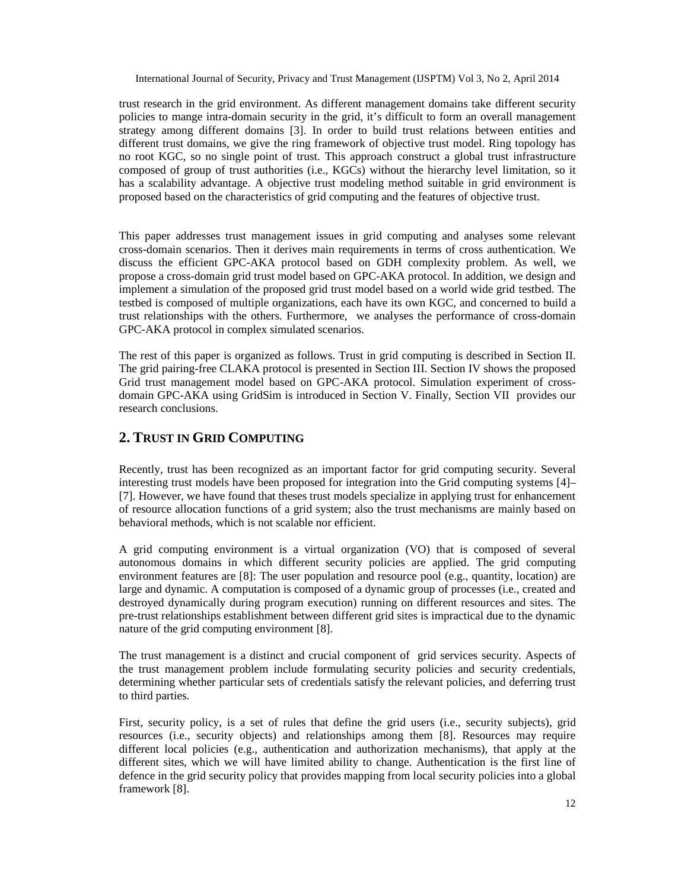trust research in the grid environment. As different management domains take different security policies to mange intra-domain security in the grid, it's difficult to form an overall management strategy among different domains [3]. In order to build trust relations between entities and different trust domains, we give the ring framework of objective trust model. Ring topology has no root KGC, so no single point of trust. This approach construct a global trust infrastructure composed of group of trust authorities (i.e., KGCs) without the hierarchy level limitation, so it has a scalability advantage. A objective trust modeling method suitable in grid environment is proposed based on the characteristics of grid computing and the features of objective trust.

This paper addresses trust management issues in grid computing and analyses some relevant cross-domain scenarios. Then it derives main requirements in terms of cross authentication. We discuss the efficient GPC-AKA protocol based on GDH complexity problem. As well, we propose a cross-domain grid trust model based on GPC-AKA protocol. In addition, we design and implement a simulation of the proposed grid trust model based on a world wide grid testbed. The testbed is composed of multiple organizations, each have its own KGC, and concerned to build a trust relationships with the others. Furthermore, we analyses the performance of cross-domain GPC-AKA protocol in complex simulated scenarios.

The rest of this paper is organized as follows. Trust in grid computing is described in Section II. The grid pairing-free CLAKA protocol is presented in Section III. Section IV shows the proposed Grid trust management model based on GPC-AKA protocol. Simulation experiment of crossdomain GPC-AKA using GridSim is introduced in Section V. Finally, Section VII provides our research conclusions.

# **2. TRUST IN GRID COMPUTING**

Recently, trust has been recognized as an important factor for grid computing security. Several interesting trust models have been proposed for integration into the Grid computing systems [4]– [7]. However, we have found that theses trust models specialize in applying trust for enhancement of resource allocation functions of a grid system; also the trust mechanisms are mainly based on behavioral methods, which is not scalable nor efficient.

A grid computing environment is a virtual organization (VO) that is composed of several autonomous domains in which different security policies are applied. The grid computing environment features are [8]: The user population and resource pool (e.g., quantity, location) are large and dynamic. A computation is composed of a dynamic group of processes (i.e., created and destroyed dynamically during program execution) running on different resources and sites. The pre-trust relationships establishment between different grid sites is impractical due to the dynamic nature of the grid computing environment [8].

The trust management is a distinct and crucial component of grid services security. Aspects of the trust management problem include formulating security policies and security credentials, determining whether particular sets of credentials satisfy the relevant policies, and deferring trust to third parties.

First, security policy, is a set of rules that define the grid users (i.e., security subjects), grid resources (i.e., security objects) and relationships among them [8]. Resources may require different local policies (e.g., authentication and authorization mechanisms), that apply at the different sites, which we will have limited ability to change. Authentication is the first line of defence in the grid security policy that provides mapping from local security policies into a global framework [8].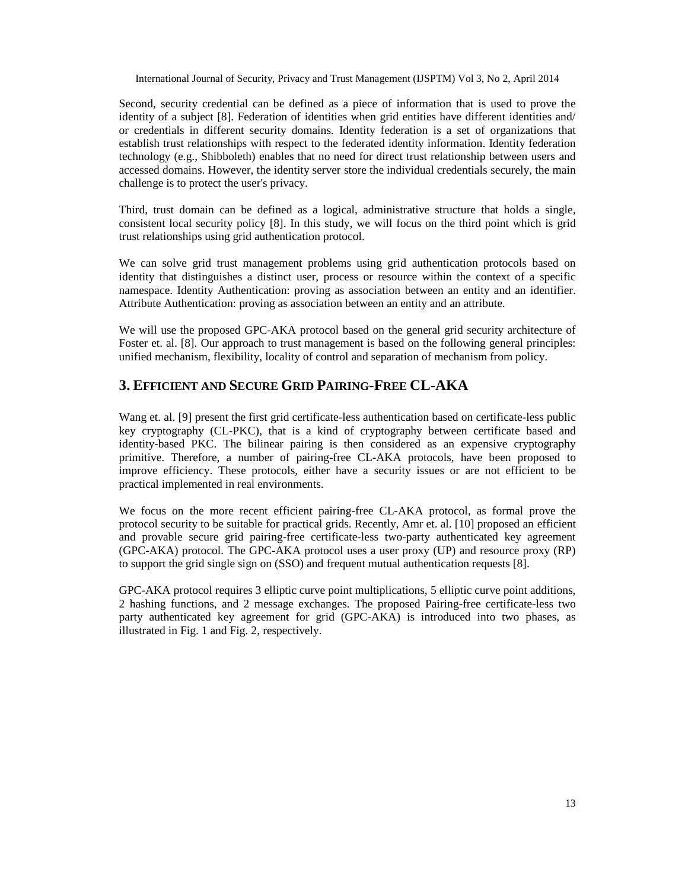Second, security credential can be defined as a piece of information that is used to prove the identity of a subject [8]. Federation of identities when grid entities have different identities and/ or credentials in different security domains. Identity federation is a set of organizations that establish trust relationships with respect to the federated identity information. Identity federation technology (e.g., Shibboleth) enables that no need for direct trust relationship between users and accessed domains. However, the identity server store the individual credentials securely, the main challenge is to protect the user's privacy.

Third, trust domain can be defined as a logical, administrative structure that holds a single, consistent local security policy [8]. In this study, we will focus on the third point which is grid trust relationships using grid authentication protocol.

We can solve grid trust management problems using grid authentication protocols based on identity that distinguishes a distinct user, process or resource within the context of a specific namespace. Identity Authentication: proving as association between an entity and an identifier. Attribute Authentication: proving as association between an entity and an attribute.

We will use the proposed GPC-AKA protocol based on the general grid security architecture of Foster et. al. [8]. Our approach to trust management is based on the following general principles: unified mechanism, flexibility, locality of control and separation of mechanism from policy.

## **3. EFFICIENT AND SECURE GRID PAIRING-FREE CL-AKA**

Wang et. al. [9] present the first grid certificate-less authentication based on certificate-less public key cryptography (CL-PKC), that is a kind of cryptography between certificate based and identity-based PKC. The bilinear pairing is then considered as an expensive cryptography primitive. Therefore, a number of pairing-free CL-AKA protocols, have been proposed to improve efficiency. These protocols, either have a security issues or are not efficient to be practical implemented in real environments.

We focus on the more recent efficient pairing-free CL-AKA protocol, as formal prove the protocol security to be suitable for practical grids. Recently, Amr et. al. [10] proposed an efficient and provable secure grid pairing-free certificate-less two-party authenticated key agreement (GPC-AKA) protocol. The GPC-AKA protocol uses a user proxy (UP) and resource proxy (RP) to support the grid single sign on (SSO) and frequent mutual authentication requests [8].

GPC-AKA protocol requires 3 elliptic curve point multiplications, 5 elliptic curve point additions, 2 hashing functions, and 2 message exchanges. The proposed Pairing-free certificate-less two party authenticated key agreement for grid (GPC-AKA) is introduced into two phases, as illustrated in Fig. 1 and Fig. 2, respectively.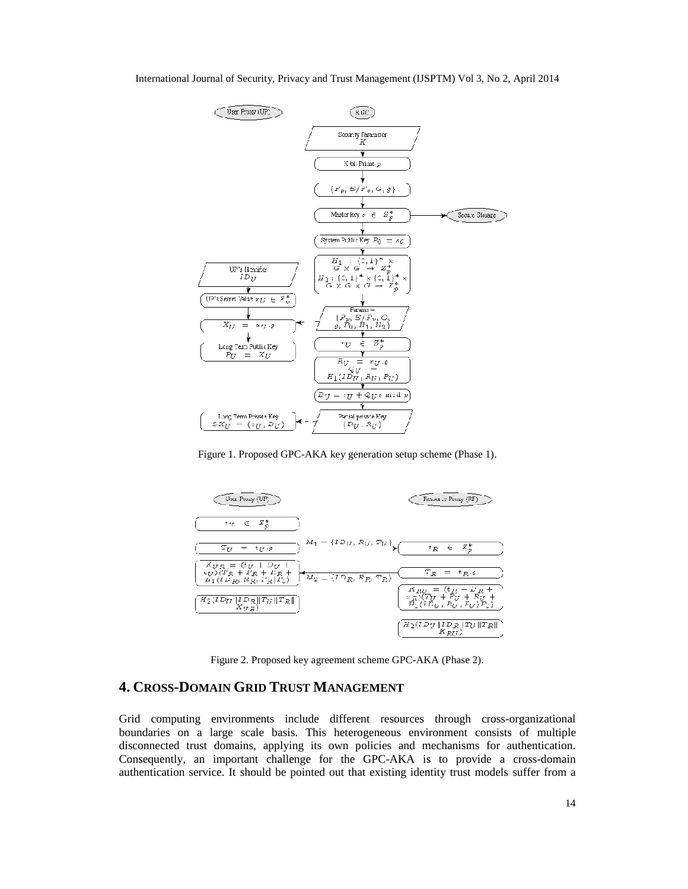

Figure 1. Proposed GPC-AKA key generation setup scheme (Phase 1).



Figure 2. Proposed key agreement scheme GPC-AKA (Phase 2).

## **4. CROSS-DOMAIN GRID TRUST MANAGEMENT**

Grid computing environments include different resources through cross-organizational boundaries on a large scale basis. This heterogeneous environment consists of multiple disconnected trust domains, applying its own policies and mechanisms for authentication. Consequently, an important challenge for the GPC-AKA is to provide a cross-domain authentication service. It should be pointed out that existing identity trust models suffer from a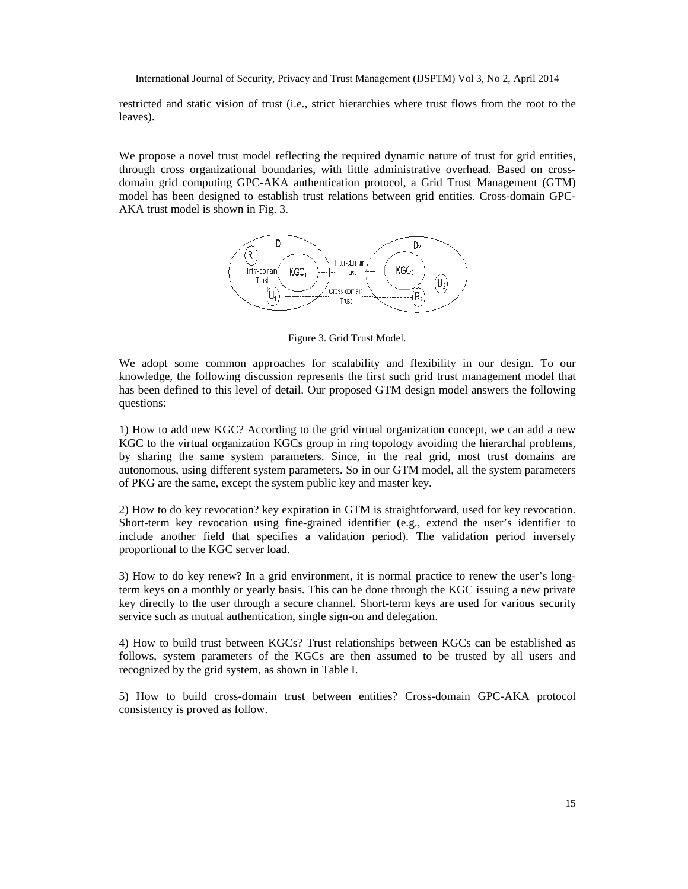restricted and static vision of trust (i.e., strict hierarchies where trust flows from the root to the leaves).

We propose a novel trust model reflecting the required dynamic nature of trust for grid entities, through cross organizational boundaries, with little administrative overhead. Based on crossdomain grid computing GPC-AKA authentication protocol, a Grid Trust Management (GTM) model has been designed to establish trust relations between grid entities. Cross-domain GPC-AKA trust model is shown in Fig. 3.



Figure 3. Grid Trust Model.

We adopt some common approaches for scalability and flexibility in our design. To our knowledge, the following discussion represents the first such grid trust management model that has been defined to this level of detail. Our proposed GTM design model answers the following questions:

1) How to add new KGC? According to the grid virtual organization concept, we can add a new KGC to the virtual organization KGCs group in ring topology avoiding the hierarchal problems, by sharing the same system parameters. Since, in the real grid, most trust domains are autonomous, using different system parameters. So in our GTM model, all the system parameters of PKG are the same, except the system public key and master key.

2) How to do key revocation? key expiration in GTM is straightforward, used for key revocation. Short-term key revocation using fine-grained identifier (e.g., extend the user's identifier to include another field that specifies a validation period). The validation period inversely proportional to the KGC server load.

3) How to do key renew? In a grid environment, it is normal practice to renew the user's longterm keys on a monthly or yearly basis. This can be done through the KGC issuing a new private key directly to the user through a secure channel. Short-term keys are used for various security service such as mutual authentication, single sign-on and delegation.

4) How to build trust between KGCs? Trust relationships between KGCs can be established as follows, system parameters of the KGCs are then assumed to be trusted by all users and recognized by the grid system, as shown in Table I.

5) How to build cross-domain trust between entities? Cross-domain GPC-AKA protocol consistency is proved as follow.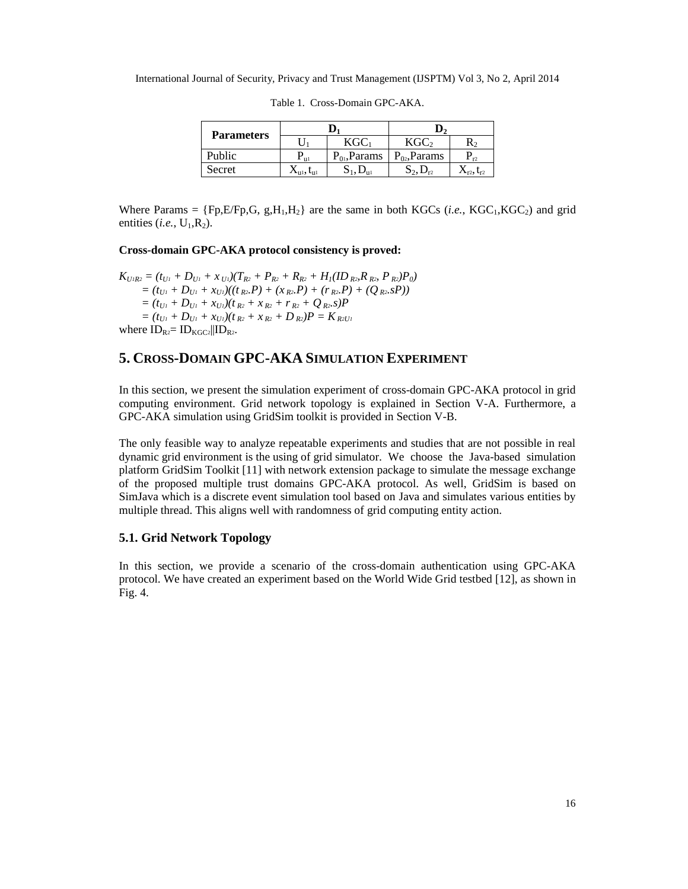| <b>Parameters</b> |           |                   |                   |                                       |  |
|-------------------|-----------|-------------------|-------------------|---------------------------------------|--|
|                   |           | KGC               | KGC               |                                       |  |
| Public            | 111       | $P_{01}$ , Params | $P_{02}$ , Params | $\mathbf{D}_{r2}$                     |  |
| Secret            | ^ւսւ, էսւ |                   |                   | $\mathbf{A}_{r2}$ , $\mathbf{L}_{r2}$ |  |

Table 1. Cross-Domain GPC-AKA.

Where Params =  ${F_p,E/F_p,G, g,H_1,H_2}$  are the same in both KGCs (*i.e.*, KGC<sub>1</sub>,KGC<sub>2</sub>) and grid entities  $(i.e., U_1, R_2)$ .

#### **Cross-domain GPC-AKA protocol consistency is proved:**

 $K_{UIR2} = (t_{U1} + D_{U1} + x_{U1})(T_{R2} + P_{R2} + R_{R2} + H_I(ID_{R2}, R_{R2}, P_{R2})P_0)$  $=(t_{U1} + D_{U1} + x_{U1})((t_{R2}.P) + (x_{R2}.P) + (r_{R2}.P) + (Q_{R2}.SP))$  $=(t_{U1} + D_{U1} + x_{U1})(t_{R2} + x_{R2} + r_{R2} + Q_{R2} s)P$  $=(t_{U1} + D_{U1} + x_{U1})(t_{R2} + x_{R2} + D_{R2})P = K_{R2U1}$ where  $ID_{R2}= ID_{KGC2} ||ID_{R2}$ .

# **5. CROSS-DOMAIN GPC-AKA SIMULATION EXPERIMENT**

In this section, we present the simulation experiment of cross-domain GPC-AKA protocol in grid computing environment. Grid network topology is explained in Section V-A. Furthermore, a GPC-AKA simulation using GridSim toolkit is provided in Section V-B.

The only feasible way to analyze repeatable experiments and studies that are not possible in real dynamic grid environment is the using of grid simulator. We choose the Java-based simulation platform GridSim Toolkit [11] with network extension package to simulate the message exchange of the proposed multiple trust domains GPC-AKA protocol. As well, GridSim is based on SimJava which is a discrete event simulation tool based on Java and simulates various entities by multiple thread. This aligns well with randomness of grid computing entity action.

## **5.1. Grid Network Topology**

In this section, we provide a scenario of the cross-domain authentication using GPC-AKA protocol. We have created an experiment based on the World Wide Grid testbed [12], as shown in Fig. 4.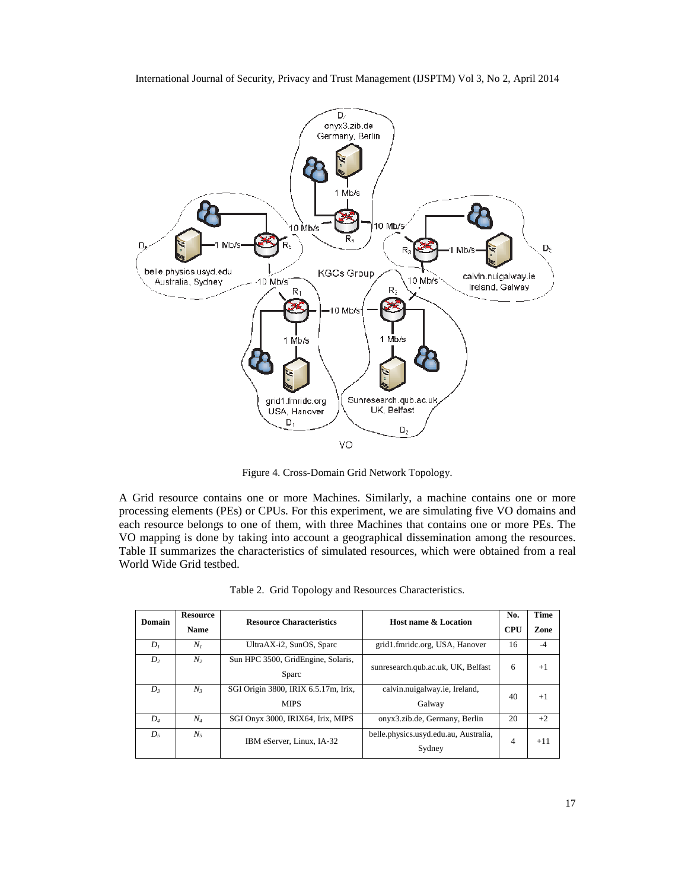

Figure 4. Cross-Domain Grid Network Topology.

A Grid resource contains one or more Machines. Similarly, a machine contains one or more processing elements (PEs) or CPUs. For this experiment, we are simulating five VO domains and each resource belongs to one of them, with three Machines that contains one or more PEs. The VO mapping is done by taking into account a geographical dissemination among the resources. Table II summarizes the characteristics of simulated resources, which were obtained from a real World Wide Grid testbed.

|  |  |  |  |  | Table 2. Grid Topology and Resources Characteristics. |
|--|--|--|--|--|-------------------------------------------------------|
|--|--|--|--|--|-------------------------------------------------------|

| <b>Domain</b>  | <b>Resource</b><br><b>Name</b> | <b>Resource Characteristics</b>                     | <b>Host name &amp; Location</b>                 | No.<br><b>CPU</b> | <b>Time</b><br>Zone |
|----------------|--------------------------------|-----------------------------------------------------|-------------------------------------------------|-------------------|---------------------|
| $D_I$          | $N_I$                          | UltraAX-i2, SunOS, Sparc                            | grid1.fmridc.org, USA, Hanover                  | 16                |                     |
| D <sub>2</sub> | N <sub>2</sub>                 | Sun HPC 3500, GridEngine, Solaris,<br>Sparc         | sunresearch.qub.ac.uk, UK, Belfast              | 6                 | $+1$                |
| $D_{3}$        | $N_{3}$                        | SGI Origin 3800, IRIX 6.5.17m, Irix,<br><b>MIPS</b> | calvin.nuigalway.ie, Ireland,<br>Galway         | 40                | $+1$                |
| $D_4$          | $N_{4}$                        | SGI Onyx 3000, IRIX64, Irix, MIPS                   | onyx3.zib.de, Germany, Berlin                   | 20                | $+2$                |
| $D_5$          | $N_{5}$                        | IBM eServer, Linux, IA-32                           | belle.physics.usyd.edu.au, Australia,<br>Sydney | 4                 | $+11$               |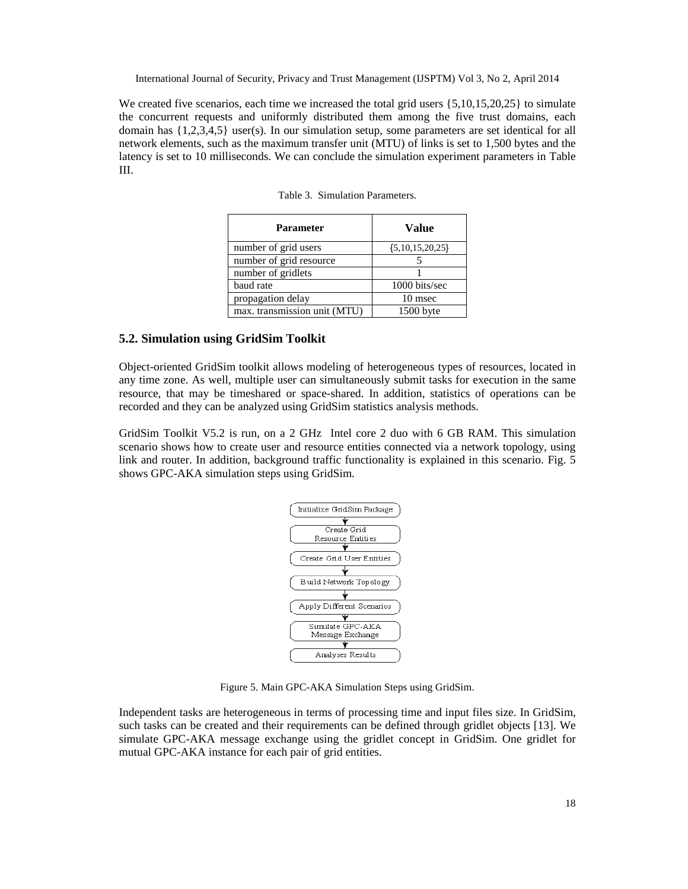We created five scenarios, each time we increased the total grid users  $\{5,10,15,20,25\}$  to simulate the concurrent requests and uniformly distributed them among the five trust domains, each domain has {1,2,3,4,5} user(s). In our simulation setup, some parameters are set identical for all network elements, such as the maximum transfer unit (MTU) of links is set to 1,500 bytes and the latency is set to 10 milliseconds. We can conclude the simulation experiment parameters in Table III.

| <b>Parameter</b>             | Value             |
|------------------------------|-------------------|
| number of grid users         | ${5,10,15,20,25}$ |
| number of grid resource      |                   |
| number of gridlets           |                   |
| baud rate                    | 1000 bits/sec     |
| propagation delay            | 10 msec           |
| max. transmission unit (MTU) | 1500 byte         |

Table 3. Simulation Parameters.

#### **5.2. Simulation using GridSim Toolkit**

Object-oriented GridSim toolkit allows modeling of heterogeneous types of resources, located in any time zone. As well, multiple user can simultaneously submit tasks for execution in the same resource, that may be timeshared or space-shared. In addition, statistics of operations can be recorded and they can be analyzed using GridSim statistics analysis methods.

GridSim Toolkit V5.2 is run, on a 2 GHz Intel core 2 duo with 6 GB RAM. This simulation scenario shows how to create user and resource entities connected via a network topology, using link and router. In addition, background traffic functionality is explained in this scenario. Fig. 5 shows GPC-AKA simulation steps using GridSim.



Figure 5. Main GPC-AKA Simulation Steps using GridSim.

Independent tasks are heterogeneous in terms of processing time and input files size. In GridSim, such tasks can be created and their requirements can be defined through gridlet objects [13]. We simulate GPC-AKA message exchange using the gridlet concept in GridSim. One gridlet for mutual GPC-AKA instance for each pair of grid entities.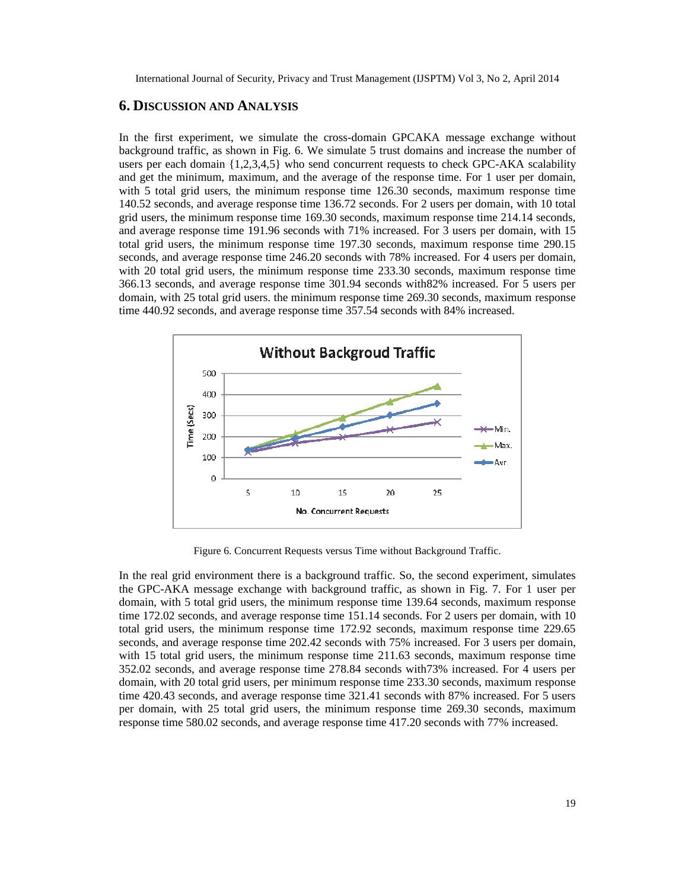### **6. DISCUSSION AND ANALYSIS**

In the first experiment, we simulate the cross-domain GPCAKA message exchange without background traffic, as shown in Fig. 6. We simulate 5 trust domains and increase the number of users per each domain {1,2,3,4,5} who send concurrent requests to check GPC-AKA scalability and get the minimum, maximum, and the average of the response time. For 1 user per domain, with 5 total grid users, the minimum response time 126.30 seconds, maximum response time 140.52 seconds, and average response time 136.72 seconds. For 2 users per domain, with 10 total grid users, the minimum response time 169.30 seconds, maximum response time 214.14 seconds, and average response time 191.96 seconds with 71% increased. For 3 users per domain, with 15 total grid users, the minimum response time 197.30 seconds, maximum response time 290.15 seconds, and average response time 246.20 seconds with 78% increased. For 4 users per domain, with 20 total grid users, the minimum response time 233.30 seconds, maximum response time 366.13 seconds, and average response time 301.94 seconds with82% increased. For 5 users per domain, with 25 total grid users. the minimum response time 269.30 seconds, maximum response time 440.92 seconds, and average response time 357.54 seconds with 84% increased.



Figure 6. Concurrent Requests versus Time without Background Traffic.

In the real grid environment there is a background traffic. So, the second experiment, simulates the GPC-AKA message exchange with background traffic, as shown in Fig. 7. For 1 user per domain, with 5 total grid users, the minimum response time 139.64 seconds, maximum response time 172.02 seconds, and average response time 151.14 seconds. For 2 users per domain, with 10 total grid users, the minimum response time 172.92 seconds, maximum response time 229.65 seconds, and average response time 202.42 seconds with 75% increased. For 3 users per domain, with 15 total grid users, the minimum response time 211.63 seconds, maximum response time 352.02 seconds, and average response time 278.84 seconds with73% increased. For 4 users per domain, with 20 total grid users, per minimum response time 233.30 seconds, maximum response time 420.43 seconds, and average response time 321.41 seconds with 87% increased. For 5 users per domain, with 25 total grid users, the minimum response time 269.30 seconds, maximum response time 580.02 seconds, and average response time 417.20 seconds with 77% increased.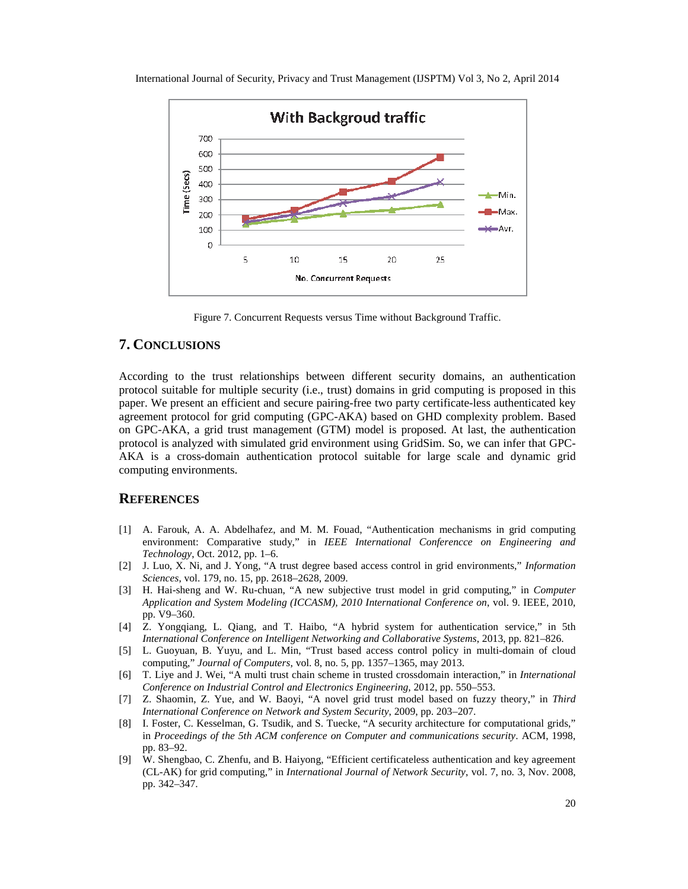

Figure 7. Concurrent Requests versus Time without Background Traffic.

## **7. CONCLUSIONS**

According to the trust relationships between different security domains, an authentication protocol suitable for multiple security (i.e., trust) domains in grid computing is proposed in this paper. We present an efficient and secure pairing-free two party certificate-less authenticated key agreement protocol for grid computing (GPC-AKA) based on GHD complexity problem. Based on GPC-AKA, a grid trust management (GTM) model is proposed. At last, the authentication protocol is analyzed with simulated grid environment using GridSim. So, we can infer that GPC-AKA is a cross-domain authentication protocol suitable for large scale and dynamic grid computing environments.

## **REFERENCES**

- [1] A. Farouk, A. A. Abdelhafez, and M. M. Fouad, "Authentication mechanisms in grid computing environment: Comparative study," in *IEEE International Conferencce on Engineering and Technology*, Oct. 2012, pp. 1–6.
- [2] J. Luo, X. Ni, and J. Yong, "A trust degree based access control in grid environments," *Information Sciences*, vol. 179, no. 15, pp. 2618–2628, 2009.
- [3] H. Hai-sheng and W. Ru-chuan, "A new subjective trust model in grid computing," in *Computer Application and System Modeling (ICCASM), 2010 International Conference on*, vol. 9. IEEE, 2010, pp. V9–360.
- [4] Z. Yongqiang, L. Qiang, and T. Haibo, "A hybrid system for authentication service," in 5th *International Conference on Intelligent Networking and Collaborative Systems*, 2013, pp. 821–826.
- [5] L. Guoyuan, B. Yuyu, and L. Min, "Trust based access control policy in multi-domain of cloud computing," *Journal of Computers*, vol. 8, no. 5, pp. 1357–1365, may 2013.
- [6] T. Liye and J. Wei, "A multi trust chain scheme in trusted crossdomain interaction," in *International Conference on Industrial Control and Electronics Engineering*, 2012, pp. 550–553.
- [7] Z. Shaomin, Z. Yue, and W. Baoyi, "A novel grid trust model based on fuzzy theory," in *Third International Conference on Network and System Security*, 2009, pp. 203–207.
- [8] I. Foster, C. Kesselman, G. Tsudik, and S. Tuecke, "A security architecture for computational grids," in *Proceedings of the 5th ACM conference on Computer and communications security*. ACM, 1998, pp. 83–92.
- [9] W. Shengbao, C. Zhenfu, and B. Haiyong, "Efficient certificateless authentication and key agreement (CL-AK) for grid computing," in *International Journal of Network Security*, vol. 7, no. 3, Nov. 2008, pp. 342–347.